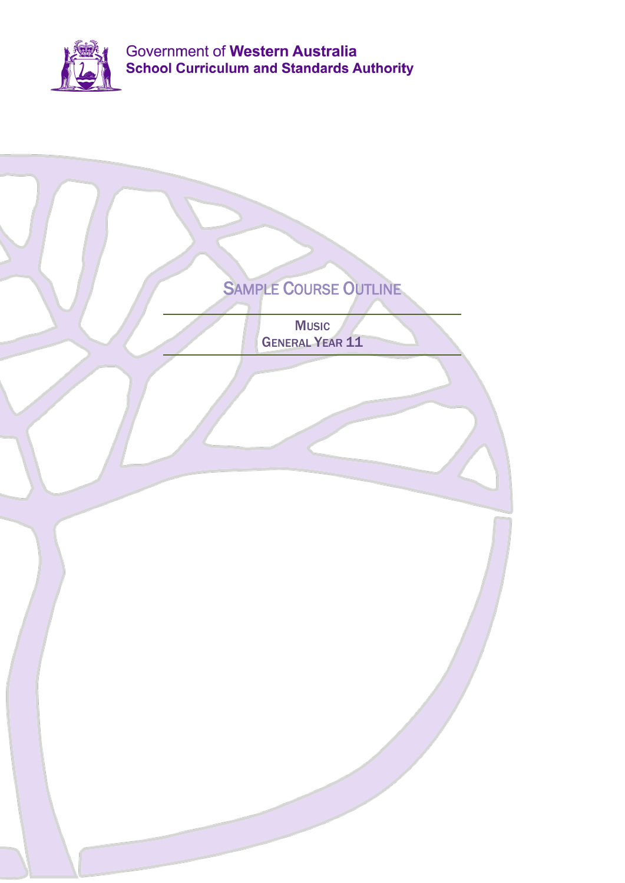

| SAMPLE COURSE OUTLINE<br><b>Music</b><br><b>GENERAL YEAR 11</b> |
|-----------------------------------------------------------------|
|                                                                 |
|                                                                 |
|                                                                 |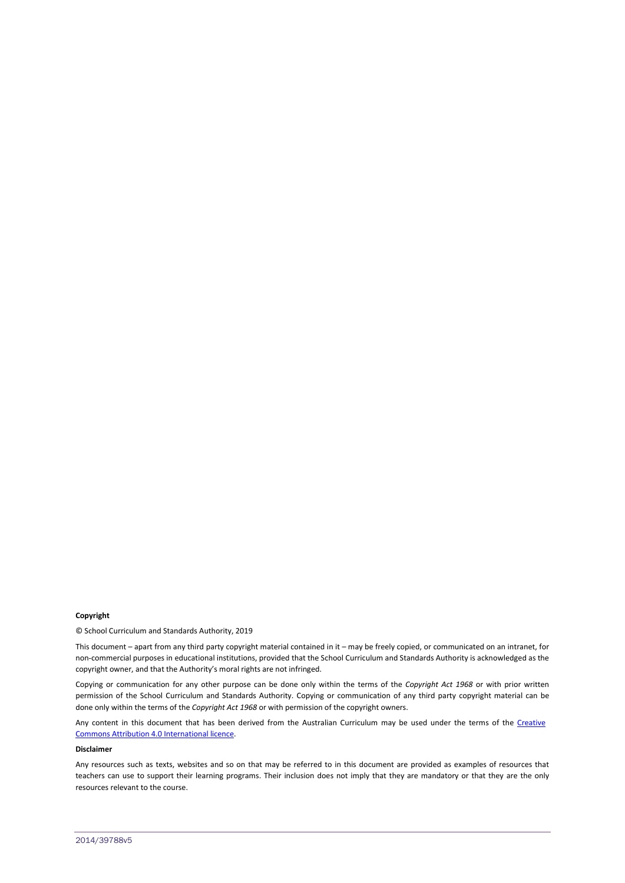#### **Copyright**

© School Curriculum and Standards Authority, 2019

This document – apart from any third party copyright material contained in it – may be freely copied, or communicated on an intranet, for non-commercial purposes in educational institutions, provided that the School Curriculum and Standards Authority is acknowledged as the copyright owner, and that the Authority's moral rights are not infringed.

Copying or communication for any other purpose can be done only within the terms of the *Copyright Act 1968* or with prior written permission of the School Curriculum and Standards Authority. Copying or communication of any third party copyright material can be done only within the terms of the *Copyright Act 1968* or with permission of the copyright owners.

Any content in this document that has been derived from the Australian Curriculum may be used under the terms of the Creative [Commons Attribution 4.0 International licence.](http://creativecommons.org/licenses/by/4.0/)

### **Disclaimer**

Any resources such as texts, websites and so on that may be referred to in this document are provided as examples of resources that teachers can use to support their learning programs. Their inclusion does not imply that they are mandatory or that they are the only resources relevant to the course.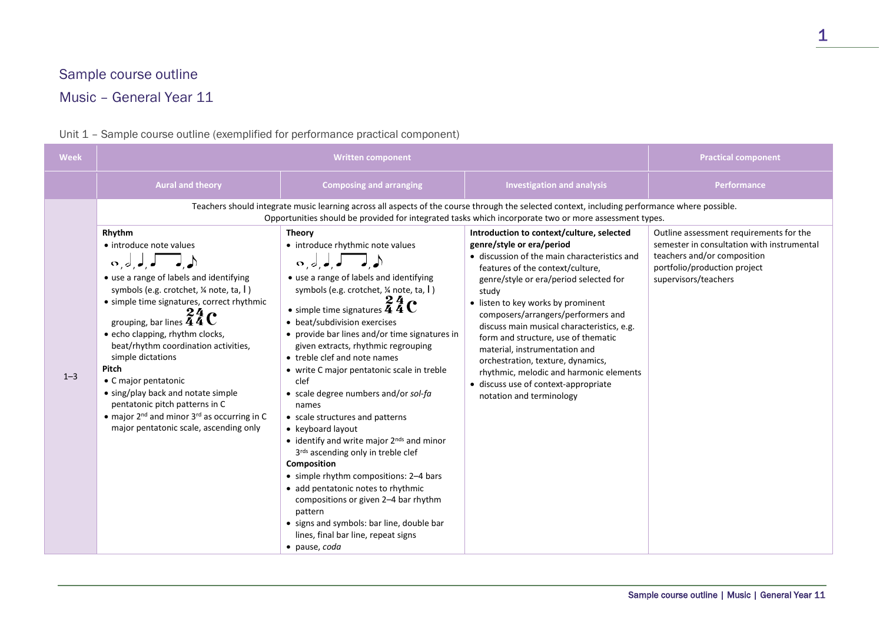## Sample course outline

# Music – General Year 11

#### **Week Written component Practical component Aural and theory Composing and arranging Investigation and analysis Performance**  $1 - 3$ Teachers should integrate music learning across all aspects of the course through the selected context, including performance where possible. Opportunities should be provided for integrated tasks which incorporate two or more assessment types. **Rhythm** • introduce note values , , , , • use a range of labels and identifying symbols (e.g. crotchet, ¼ note, ta, I ) • simple time signatures, correct rhythmic grouping, bar lines  $\frac{24}{4}$  C • echo clapping, rhythm clocks, beat/rhythm coordination activities, simple dictations **Pitch** • C major pentatonic • sing/play back and notate simple pentatonic pitch patterns in C • major 2<sup>nd</sup> and minor 3<sup>rd</sup> as occurring in C major pentatonic scale, ascending only **Theory** • introduce rhythmic note values , , , , • use a range of labels and identifying symbols (e.g. crotchet, ¼ note, ta, I ) • simple time signatures  $\frac{24}{4}$  C • beat/subdivision exercises • provide bar lines and/or time signatures in given extracts, rhythmic regrouping • treble clef and note names • write C major pentatonic scale in treble clef • scale degree numbers and/or *sol-fa* names • scale structures and patterns • keyboard layout  $\bullet$  identify and write major  $2^{nds}$  and minor 3rds ascending only in treble clef **Composition** • simple rhythm compositions: 2–4 bars • add pentatonic notes to rhythmic compositions or given 2–4 bar rhythm pattern • signs and symbols: bar line, double bar lines, final bar line, repeat signs • pause, *coda* **Introduction to context/culture, selected genre/style or era/period** • discussion of the main characteristics and features of the context/culture, genre/style or era/period selected for study • listen to key works by prominent composers/arrangers/performers and discuss main musical characteristics, e.g. form and structure, use of thematic material, instrumentation and orchestration, texture, dynamics, rhythmic, melodic and harmonic elements • discuss use of context-appropriate notation and terminology Outline assessment requirements for the semester in consultation with instrumental teachers and/or composition portfolio/production project supervisors/teachers

## Unit 1 – Sample course outline (exemplified for performance practical component)

Sample course outline | Music | General Year 11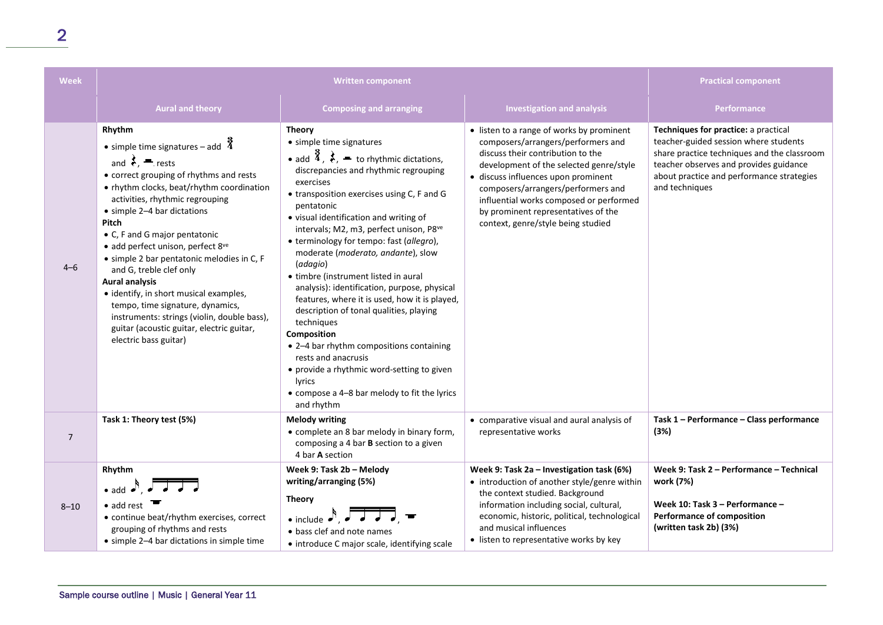| <b>Week</b>    | <b>Written component</b>                                                                                                                                                                                                                                                                                                                                                                                                                                                                                                                                                                                                                         |                                                                                                                                                                                                                                                                                                                                                                                                                                                                                                                                                                                                                                                                                                                                                                                                                                         |                                                                                                                                                                                                                                                                                                                                                                      | <b>Practical component</b>                                                                                                                                                                                                            |
|----------------|--------------------------------------------------------------------------------------------------------------------------------------------------------------------------------------------------------------------------------------------------------------------------------------------------------------------------------------------------------------------------------------------------------------------------------------------------------------------------------------------------------------------------------------------------------------------------------------------------------------------------------------------------|-----------------------------------------------------------------------------------------------------------------------------------------------------------------------------------------------------------------------------------------------------------------------------------------------------------------------------------------------------------------------------------------------------------------------------------------------------------------------------------------------------------------------------------------------------------------------------------------------------------------------------------------------------------------------------------------------------------------------------------------------------------------------------------------------------------------------------------------|----------------------------------------------------------------------------------------------------------------------------------------------------------------------------------------------------------------------------------------------------------------------------------------------------------------------------------------------------------------------|---------------------------------------------------------------------------------------------------------------------------------------------------------------------------------------------------------------------------------------|
|                | <b>Aural and theory</b>                                                                                                                                                                                                                                                                                                                                                                                                                                                                                                                                                                                                                          | <b>Composing and arranging</b>                                                                                                                                                                                                                                                                                                                                                                                                                                                                                                                                                                                                                                                                                                                                                                                                          | <b>Investigation and analysis</b>                                                                                                                                                                                                                                                                                                                                    | <b>Performance</b>                                                                                                                                                                                                                    |
| $4 - 6$        | Rhythm<br>• simple time signatures – add $\frac{3}{4}$<br>and $\frac{1}{6}$ , $\blacksquare$ rests<br>• correct grouping of rhythms and rests<br>• rhythm clocks, beat/rhythm coordination<br>activities, rhythmic regrouping<br>• simple 2-4 bar dictations<br>Pitch<br>• C, F and G major pentatonic<br>· add perfect unison, perfect 8ve<br>• simple 2 bar pentatonic melodies in C, F<br>and G, treble clef only<br><b>Aural analysis</b><br>• identify, in short musical examples,<br>tempo, time signature, dynamics,<br>instruments: strings (violin, double bass),<br>guitar (acoustic guitar, electric guitar,<br>electric bass guitar) | <b>Theory</b><br>• simple time signatures<br>• add $\frac{3}{4}$ , $\frac{3}{5}$ , $\frac{4}{5}$ to rhythmic dictations,<br>discrepancies and rhythmic regrouping<br>exercises<br>• transposition exercises using C, F and G<br>pentatonic<br>• visual identification and writing of<br>intervals; M2, m3, perfect unison, P8ve<br>• terminology for tempo: fast (allegro),<br>moderate (moderato, andante), slow<br>(adagio)<br>• timbre (instrument listed in aural<br>analysis): identification, purpose, physical<br>features, where it is used, how it is played,<br>description of tonal qualities, playing<br>techniques<br>Composition<br>• 2-4 bar rhythm compositions containing<br>rests and anacrusis<br>• provide a rhythmic word-setting to given<br>lyrics<br>• compose a 4-8 bar melody to fit the lyrics<br>and rhythm | • listen to a range of works by prominent<br>composers/arrangers/performers and<br>discuss their contribution to the<br>development of the selected genre/style<br>· discuss influences upon prominent<br>composers/arrangers/performers and<br>influential works composed or performed<br>by prominent representatives of the<br>context, genre/style being studied | Techniques for practice: a practical<br>teacher-guided session where students<br>share practice techniques and the classroom<br>teacher observes and provides guidance<br>about practice and performance strategies<br>and techniques |
| $\overline{7}$ | Task 1: Theory test (5%)                                                                                                                                                                                                                                                                                                                                                                                                                                                                                                                                                                                                                         | <b>Melody writing</b><br>• complete an 8 bar melody in binary form,<br>composing a 4 bar B section to a given<br>4 bar A section                                                                                                                                                                                                                                                                                                                                                                                                                                                                                                                                                                                                                                                                                                        | • comparative visual and aural analysis of<br>representative works                                                                                                                                                                                                                                                                                                   | Task 1 - Performance - Class performance<br>(3%)                                                                                                                                                                                      |
| $8 - 10$       | Rhythm<br>$\bullet$ add $\bullet$ , $\overrightarrow{a}$<br>$\bullet$ add rest<br>• continue beat/rhythm exercises, correct<br>grouping of rhythms and rests<br>• simple 2-4 bar dictations in simple time                                                                                                                                                                                                                                                                                                                                                                                                                                       | Week 9: Task 2b - Melody<br>writing/arranging (5%)<br><b>Theory</b><br>$\bullet$ include $\bullet$ , $\bullet$<br>• bass clef and note names<br>• introduce C major scale, identifying scale                                                                                                                                                                                                                                                                                                                                                                                                                                                                                                                                                                                                                                            | Week 9: Task 2a – Investigation task (6%)<br>• introduction of another style/genre within<br>the context studied. Background<br>information including social, cultural,<br>economic, historic, political, technological<br>and musical influences<br>• listen to representative works by key                                                                         | Week 9: Task 2 - Performance - Technical<br>work (7%)<br>Week 10: Task 3 - Performance -<br>Performance of composition<br>(written task 2b) (3%)                                                                                      |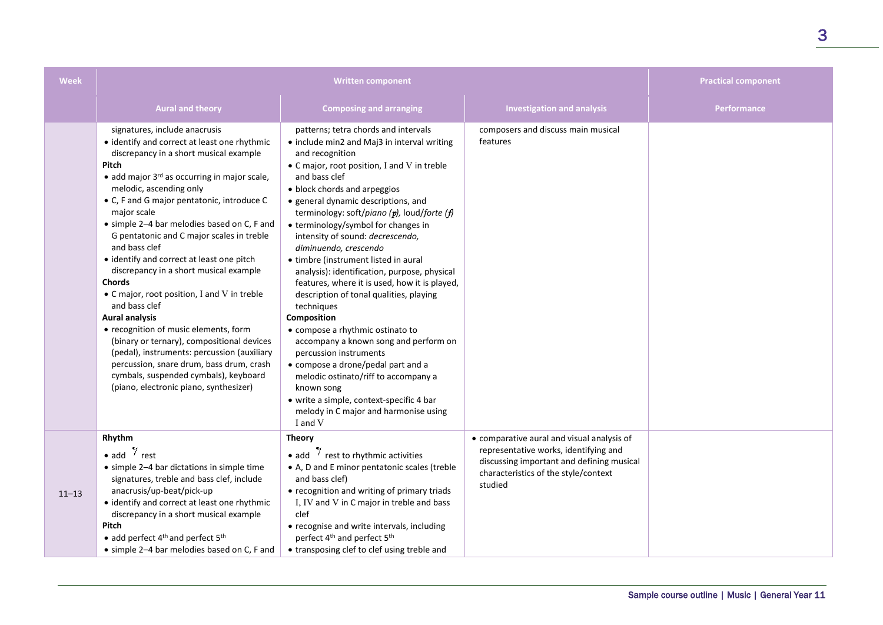| <b>Week</b> | <b>Written component</b>                                                                                                                                                                                                                                                                                                                                                                                                                                                                                                                                                                                                                                                                                                                                                                                                                                                 |                                                                                                                                                                                                                                                                                                                                                                                                                                                                                                                                                                                                                                                                                                                                                                                                                                                                                                                      |                                                                                                                                                                                     | <b>Practical component</b> |
|-------------|--------------------------------------------------------------------------------------------------------------------------------------------------------------------------------------------------------------------------------------------------------------------------------------------------------------------------------------------------------------------------------------------------------------------------------------------------------------------------------------------------------------------------------------------------------------------------------------------------------------------------------------------------------------------------------------------------------------------------------------------------------------------------------------------------------------------------------------------------------------------------|----------------------------------------------------------------------------------------------------------------------------------------------------------------------------------------------------------------------------------------------------------------------------------------------------------------------------------------------------------------------------------------------------------------------------------------------------------------------------------------------------------------------------------------------------------------------------------------------------------------------------------------------------------------------------------------------------------------------------------------------------------------------------------------------------------------------------------------------------------------------------------------------------------------------|-------------------------------------------------------------------------------------------------------------------------------------------------------------------------------------|----------------------------|
|             | <b>Aural and theory</b>                                                                                                                                                                                                                                                                                                                                                                                                                                                                                                                                                                                                                                                                                                                                                                                                                                                  | <b>Composing and arranging</b>                                                                                                                                                                                                                                                                                                                                                                                                                                                                                                                                                                                                                                                                                                                                                                                                                                                                                       | <b>Investigation and analysis</b>                                                                                                                                                   | Performance                |
|             | signatures, include anacrusis<br>• identify and correct at least one rhythmic<br>discrepancy in a short musical example<br>Pitch<br>$\bullet$ add major 3 <sup>rd</sup> as occurring in major scale,<br>melodic, ascending only<br>• C, F and G major pentatonic, introduce C<br>major scale<br>• simple 2-4 bar melodies based on C, F and<br>G pentatonic and C major scales in treble<br>and bass clef<br>• identify and correct at least one pitch<br>discrepancy in a short musical example<br>Chords<br>• C major, root position, I and V in treble<br>and bass clef<br><b>Aural analysis</b><br>• recognition of music elements, form<br>(binary or ternary), compositional devices<br>(pedal), instruments: percussion (auxiliary<br>percussion, snare drum, bass drum, crash<br>cymbals, suspended cymbals), keyboard<br>(piano, electronic piano, synthesizer) | patterns; tetra chords and intervals<br>• include min2 and Maj3 in interval writing<br>and recognition<br>• C major, root position, I and V in treble<br>and bass clef<br>• block chords and arpeggios<br>• general dynamic descriptions, and<br>terminology: soft/piano (p), loud/forte (f)<br>• terminology/symbol for changes in<br>intensity of sound: decrescendo,<br>diminuendo, crescendo<br>• timbre (instrument listed in aural<br>analysis): identification, purpose, physical<br>features, where it is used, how it is played,<br>description of tonal qualities, playing<br>techniques<br>Composition<br>• compose a rhythmic ostinato to<br>accompany a known song and perform on<br>percussion instruments<br>• compose a drone/pedal part and a<br>melodic ostinato/riff to accompany a<br>known song<br>• write a simple, context-specific 4 bar<br>melody in C major and harmonise using<br>I and V | composers and discuss main musical<br>features                                                                                                                                      |                            |
| $11 - 13$   | Rhythm<br>• add $\frac{7}{1}$ rest<br>• simple 2-4 bar dictations in simple time<br>signatures, treble and bass clef, include<br>anacrusis/up-beat/pick-up<br>• identify and correct at least one rhythmic<br>discrepancy in a short musical example<br>Pitch<br>• add perfect 4 <sup>th</sup> and perfect 5 <sup>th</sup><br>• simple 2-4 bar melodies based on C, F and                                                                                                                                                                                                                                                                                                                                                                                                                                                                                                | <b>Theory</b><br>• add $\frac{7}{7}$ rest to rhythmic activities<br>• A, D and E minor pentatonic scales (treble<br>and bass clef)<br>• recognition and writing of primary triads<br>I, IV and V in C major in treble and bass<br>clef<br>• recognise and write intervals, including<br>perfect 4 <sup>th</sup> and perfect 5 <sup>th</sup><br>• transposing clef to clef using treble and                                                                                                                                                                                                                                                                                                                                                                                                                                                                                                                           | • comparative aural and visual analysis of<br>representative works, identifying and<br>discussing important and defining musical<br>characteristics of the style/context<br>studied |                            |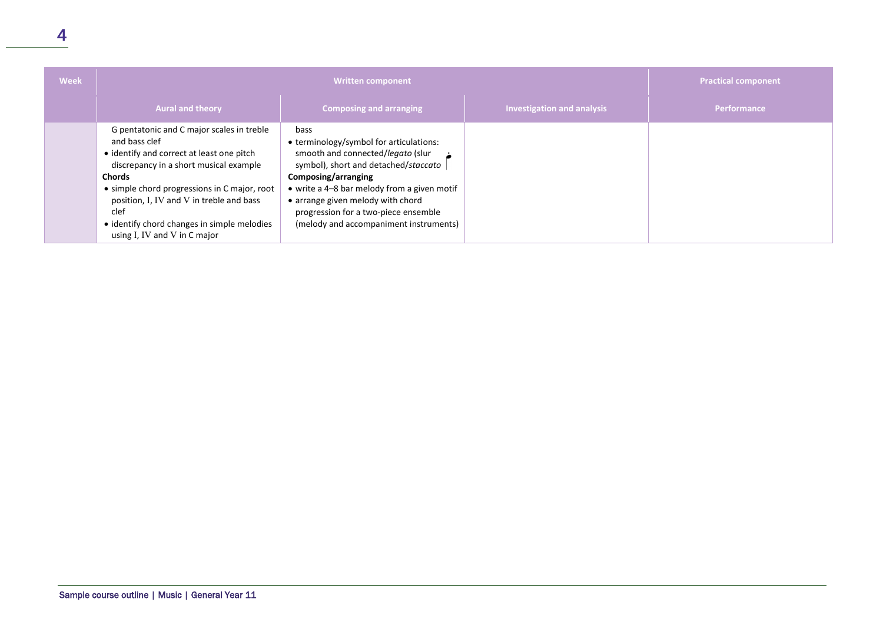| <b>Week</b> | <b>Written component</b>                                                                                                                                                                                                                                                                                                                                     |                                                                                                                                                                                                                                                                                                                           |                                   | <b>Practical component</b> |
|-------------|--------------------------------------------------------------------------------------------------------------------------------------------------------------------------------------------------------------------------------------------------------------------------------------------------------------------------------------------------------------|---------------------------------------------------------------------------------------------------------------------------------------------------------------------------------------------------------------------------------------------------------------------------------------------------------------------------|-----------------------------------|----------------------------|
|             | <b>Aural and theory</b>                                                                                                                                                                                                                                                                                                                                      | <b>Composing and arranging</b>                                                                                                                                                                                                                                                                                            | <b>Investigation and analysis</b> | Performance                |
|             | G pentatonic and C major scales in treble<br>and bass clef<br>• identify and correct at least one pitch<br>discrepancy in a short musical example<br><b>Chords</b><br>• simple chord progressions in C major, root<br>position, I, IV and V in treble and bass<br>clef<br>• identify chord changes in simple melodies<br>using $I$ , IV and $V$ in $C$ major | bass<br>• terminology/symbol for articulations:<br>smooth and connected/legato (slur<br>symbol), short and detached/staccato<br>Composing/arranging<br>• write a 4-8 bar melody from a given motif<br>• arrange given melody with chord<br>progression for a two-piece ensemble<br>(melody and accompaniment instruments) |                                   |                            |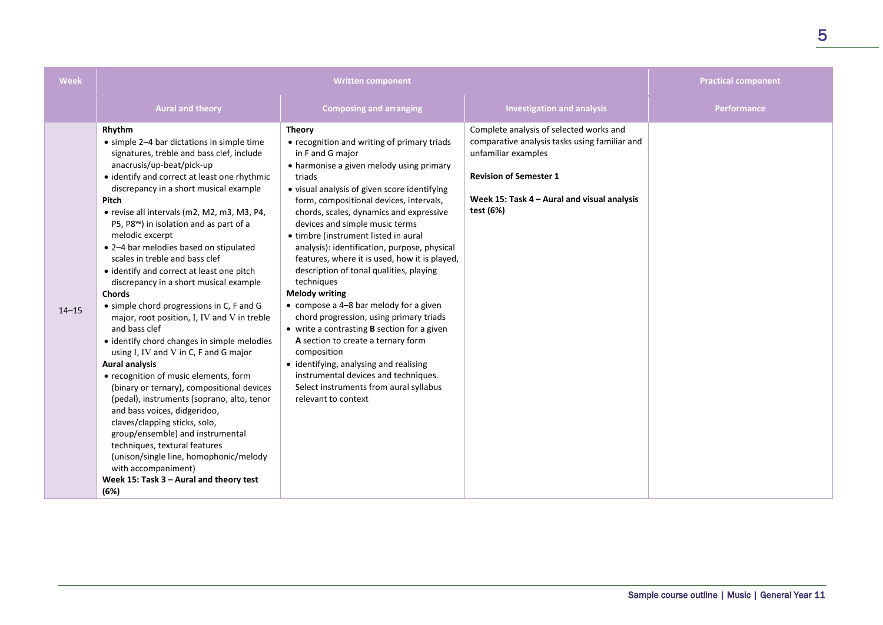| <b>Week</b> | <b>Written component</b>                                                                                                                                                                                                                                                                                                                                                                                                                                                                                                                                                                                                                                                                                                                                                                                                                                                                                                                                                                                                                                                                                                                                                     |                                                                                                                                                                                                                                                                                                                                                                                                                                                                                                                                                                                                                                                                                                                                                                                                                                                                                              |                                                                                                                                                                                                              | <b>Practical component</b> |
|-------------|------------------------------------------------------------------------------------------------------------------------------------------------------------------------------------------------------------------------------------------------------------------------------------------------------------------------------------------------------------------------------------------------------------------------------------------------------------------------------------------------------------------------------------------------------------------------------------------------------------------------------------------------------------------------------------------------------------------------------------------------------------------------------------------------------------------------------------------------------------------------------------------------------------------------------------------------------------------------------------------------------------------------------------------------------------------------------------------------------------------------------------------------------------------------------|----------------------------------------------------------------------------------------------------------------------------------------------------------------------------------------------------------------------------------------------------------------------------------------------------------------------------------------------------------------------------------------------------------------------------------------------------------------------------------------------------------------------------------------------------------------------------------------------------------------------------------------------------------------------------------------------------------------------------------------------------------------------------------------------------------------------------------------------------------------------------------------------|--------------------------------------------------------------------------------------------------------------------------------------------------------------------------------------------------------------|----------------------------|
|             | <b>Aural and theory</b>                                                                                                                                                                                                                                                                                                                                                                                                                                                                                                                                                                                                                                                                                                                                                                                                                                                                                                                                                                                                                                                                                                                                                      | <b>Composing and arranging</b>                                                                                                                                                                                                                                                                                                                                                                                                                                                                                                                                                                                                                                                                                                                                                                                                                                                               | <b>Investigation and analysis</b>                                                                                                                                                                            | Performance                |
| $14 - 15$   | Rhythm<br>• simple 2-4 bar dictations in simple time<br>signatures, treble and bass clef, include<br>anacrusis/up-beat/pick-up<br>• identify and correct at least one rhythmic<br>discrepancy in a short musical example<br>Pitch<br>• revise all intervals (m2, M2, m3, M3, P4,<br>P5, P8 <sup>ve</sup> ) in isolation and as part of a<br>melodic excerpt<br>• 2-4 bar melodies based on stipulated<br>scales in treble and bass clef<br>• identify and correct at least one pitch<br>discrepancy in a short musical example<br><b>Chords</b><br>• simple chord progressions in C, F and G<br>major, root position, I, IV and V in treble<br>and bass clef<br>• identify chord changes in simple melodies<br>using I, IV and V in C, F and G major<br><b>Aural analysis</b><br>• recognition of music elements, form<br>(binary or ternary), compositional devices<br>(pedal), instruments (soprano, alto, tenor<br>and bass voices, didgeridoo,<br>claves/clapping sticks, solo,<br>group/ensemble) and instrumental<br>techniques, textural features<br>(unison/single line, homophonic/melody<br>with accompaniment)<br>Week 15: Task 3 - Aural and theory test<br>(6%) | <b>Theory</b><br>• recognition and writing of primary triads<br>in F and G major<br>• harmonise a given melody using primary<br>triads<br>• visual analysis of given score identifying<br>form, compositional devices, intervals,<br>chords, scales, dynamics and expressive<br>devices and simple music terms<br>• timbre (instrument listed in aural<br>analysis): identification, purpose, physical<br>features, where it is used, how it is played,<br>description of tonal qualities, playing<br>techniques<br><b>Melody writing</b><br>• compose a 4-8 bar melody for a given<br>chord progression, using primary triads<br>• write a contrasting <b>B</b> section for a given<br>A section to create a ternary form<br>composition<br>• identifying, analysing and realising<br>instrumental devices and techniques.<br>Select instruments from aural syllabus<br>relevant to context | Complete analysis of selected works and<br>comparative analysis tasks using familiar and<br>unfamiliar examples<br><b>Revision of Semester 1</b><br>Week 15: Task 4 - Aural and visual analysis<br>test (6%) |                            |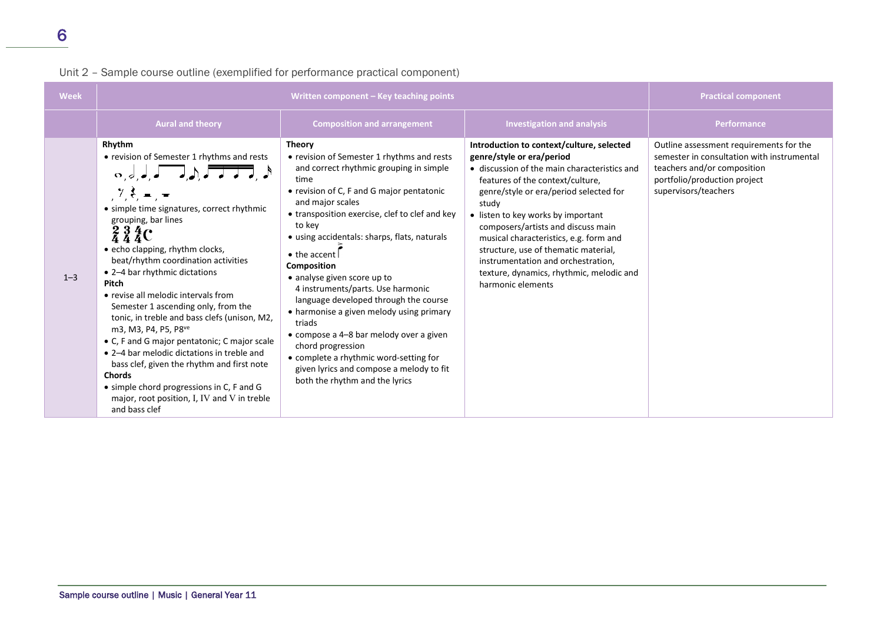| Unit 2 - Sample course outline (exemplified for performance practical component) |  |  |  |
|----------------------------------------------------------------------------------|--|--|--|
|----------------------------------------------------------------------------------|--|--|--|

| <b>Week</b> | Written component - Key teaching points                                                                                                                                                                                                                                                                                                                                                                                                                                                                                                                                                                                                                                                                                                                                            |                                                                                                                                                                                                                                                                                                                                                                                                                                                                                                                                                                                                                                                                                               |                                                                                                                                                                                                                                                                                                                                                                                                                                                                                    | <b>Practical component</b>                                                                                                                                                   |
|-------------|------------------------------------------------------------------------------------------------------------------------------------------------------------------------------------------------------------------------------------------------------------------------------------------------------------------------------------------------------------------------------------------------------------------------------------------------------------------------------------------------------------------------------------------------------------------------------------------------------------------------------------------------------------------------------------------------------------------------------------------------------------------------------------|-----------------------------------------------------------------------------------------------------------------------------------------------------------------------------------------------------------------------------------------------------------------------------------------------------------------------------------------------------------------------------------------------------------------------------------------------------------------------------------------------------------------------------------------------------------------------------------------------------------------------------------------------------------------------------------------------|------------------------------------------------------------------------------------------------------------------------------------------------------------------------------------------------------------------------------------------------------------------------------------------------------------------------------------------------------------------------------------------------------------------------------------------------------------------------------------|------------------------------------------------------------------------------------------------------------------------------------------------------------------------------|
|             | <b>Aural and theory</b>                                                                                                                                                                                                                                                                                                                                                                                                                                                                                                                                                                                                                                                                                                                                                            | <b>Composition and arrangement</b>                                                                                                                                                                                                                                                                                                                                                                                                                                                                                                                                                                                                                                                            | <b>Investigation and analysis</b>                                                                                                                                                                                                                                                                                                                                                                                                                                                  | <b>Performance</b>                                                                                                                                                           |
| $1 - 3$     | Rhythm<br>• revision of Semester 1 rhythms and rests<br>$\begin{array}{c} \circ, \circ, \circ, \star \end{array}$<br>• simple time signatures, correct rhythmic<br>grouping, bar lines<br>$\frac{2}{4}\frac{3}{4}\frac{4}{4}C$<br>• echo clapping, rhythm clocks,<br>beat/rhythm coordination activities<br>• 2-4 bar rhythmic dictations<br>Pitch<br>• revise all melodic intervals from<br>Semester 1 ascending only, from the<br>tonic, in treble and bass clefs (unison, M2,<br>m3, M3, P4, P5, P8ve<br>• C, F and G major pentatonic; C major scale<br>• 2-4 bar melodic dictations in treble and<br>bass clef, given the rhythm and first note<br><b>Chords</b><br>• simple chord progressions in C, F and G<br>major, root position, I, IV and V in treble<br>and bass clef | <b>Theory</b><br>• revision of Semester 1 rhythms and rests<br>and correct rhythmic grouping in simple<br>time<br>• revision of C, F and G major pentatonic<br>and major scales<br>• transposition exercise, clef to clef and key<br>to key<br>• using accidentals: sharps, flats, naturals<br>$\bullet$ the accent<br>Composition<br>• analyse given score up to<br>4 instruments/parts. Use harmonic<br>language developed through the course<br>• harmonise a given melody using primary<br>triads<br>• compose a 4-8 bar melody over a given<br>chord progression<br>• complete a rhythmic word-setting for<br>given lyrics and compose a melody to fit<br>both the rhythm and the lyrics | Introduction to context/culture, selected<br>genre/style or era/period<br>• discussion of the main characteristics and<br>features of the context/culture,<br>genre/style or era/period selected for<br>study<br>• listen to key works by important<br>composers/artists and discuss main<br>musical characteristics, e.g. form and<br>structure, use of thematic material,<br>instrumentation and orchestration,<br>texture, dynamics, rhythmic, melodic and<br>harmonic elements | Outline assessment requirements for the<br>semester in consultation with instrumental<br>teachers and/or composition<br>portfolio/production project<br>supervisors/teachers |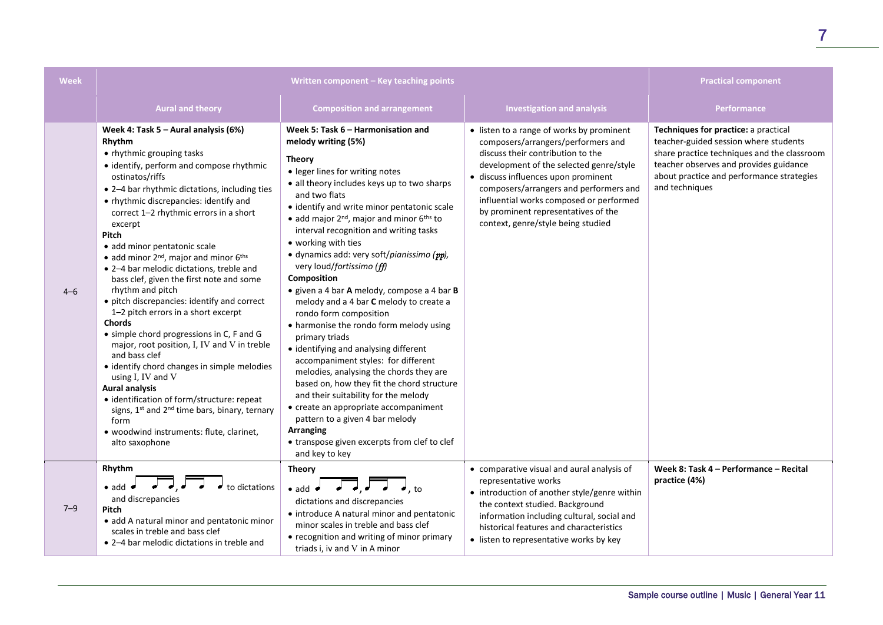| <b>Week</b> | Written component - Key teaching points                                                                                                                                                                                                                                                                                                                                                                                                                                                                                                                                                                                                                                                                                                                                                                                                                                                                                                                                                                                     |                                                                                                                                                                                                                                                                                                                                                                                                                                                                                                                                                                                                                                                                                                                                                                                                                                                                                                                                                                                                                                                 |                                                                                                                                                                                                                                                                                                                                                                          | <b>Practical component</b>                                                                                                                                                                                                            |
|-------------|-----------------------------------------------------------------------------------------------------------------------------------------------------------------------------------------------------------------------------------------------------------------------------------------------------------------------------------------------------------------------------------------------------------------------------------------------------------------------------------------------------------------------------------------------------------------------------------------------------------------------------------------------------------------------------------------------------------------------------------------------------------------------------------------------------------------------------------------------------------------------------------------------------------------------------------------------------------------------------------------------------------------------------|-------------------------------------------------------------------------------------------------------------------------------------------------------------------------------------------------------------------------------------------------------------------------------------------------------------------------------------------------------------------------------------------------------------------------------------------------------------------------------------------------------------------------------------------------------------------------------------------------------------------------------------------------------------------------------------------------------------------------------------------------------------------------------------------------------------------------------------------------------------------------------------------------------------------------------------------------------------------------------------------------------------------------------------------------|--------------------------------------------------------------------------------------------------------------------------------------------------------------------------------------------------------------------------------------------------------------------------------------------------------------------------------------------------------------------------|---------------------------------------------------------------------------------------------------------------------------------------------------------------------------------------------------------------------------------------|
|             | <b>Aural and theory</b>                                                                                                                                                                                                                                                                                                                                                                                                                                                                                                                                                                                                                                                                                                                                                                                                                                                                                                                                                                                                     | <b>Composition and arrangement</b>                                                                                                                                                                                                                                                                                                                                                                                                                                                                                                                                                                                                                                                                                                                                                                                                                                                                                                                                                                                                              | <b>Investigation and analysis</b>                                                                                                                                                                                                                                                                                                                                        | <b>Performance</b>                                                                                                                                                                                                                    |
| $4 - 6$     | Week 4: Task 5 - Aural analysis (6%)<br>Rhythm<br>• rhythmic grouping tasks<br>• identify, perform and compose rhythmic<br>ostinatos/riffs<br>• 2-4 bar rhythmic dictations, including ties<br>• rhythmic discrepancies: identify and<br>correct 1-2 rhythmic errors in a short<br>excerpt<br>Pitch<br>· add minor pentatonic scale<br>$\bullet$ add minor 2 <sup>nd</sup> , major and minor 6 <sup>ths</sup><br>• 2-4 bar melodic dictations, treble and<br>bass clef, given the first note and some<br>rhythm and pitch<br>• pitch discrepancies: identify and correct<br>1-2 pitch errors in a short excerpt<br><b>Chords</b><br>• simple chord progressions in C, F and G<br>major, root position, I, IV and V in treble<br>and bass clef<br>• identify chord changes in simple melodies<br>using I, IV and V<br><b>Aural analysis</b><br>· identification of form/structure: repeat<br>signs, 1st and 2 <sup>nd</sup> time bars, binary, ternary<br>form<br>· woodwind instruments: flute, clarinet,<br>alto saxophone | Week 5: Task 6 - Harmonisation and<br>melody writing (5%)<br><b>Theory</b><br>• leger lines for writing notes<br>• all theory includes keys up to two sharps<br>and two flats<br>• identify and write minor pentatonic scale<br>$\bullet$ add major 2 <sup>nd</sup> , major and minor 6 <sup>ths</sup> to<br>interval recognition and writing tasks<br>• working with ties<br>· dynamics add: very soft/pianissimo (pp),<br>very loud/fortissimo (ff)<br><b>Composition</b><br>· given a 4 bar A melody, compose a 4 bar B<br>melody and a 4 bar C melody to create a<br>rondo form composition<br>• harmonise the rondo form melody using<br>primary triads<br>• identifying and analysing different<br>accompaniment styles: for different<br>melodies, analysing the chords they are<br>based on, how they fit the chord structure<br>and their suitability for the melody<br>• create an appropriate accompaniment<br>pattern to a given 4 bar melody<br><b>Arranging</b><br>• transpose given excerpts from clef to clef<br>and key to key | • listen to a range of works by prominent<br>composers/arrangers/performers and<br>discuss their contribution to the<br>development of the selected genre/style<br>· discuss influences upon prominent<br>composers/arrangers and performers and<br>influential works composed or performed<br>by prominent representatives of the<br>context, genre/style being studied | Techniques for practice: a practical<br>teacher-guided session where students<br>share practice techniques and the classroom<br>teacher observes and provides guidance<br>about practice and performance strategies<br>and techniques |
| $7 - 9$     | Rhythm<br>$\bullet$ add $\bullet$<br>to dictations<br>and discrepancies<br>Pitch<br>· add A natural minor and pentatonic minor<br>scales in treble and bass clef<br>• 2-4 bar melodic dictations in treble and                                                                                                                                                                                                                                                                                                                                                                                                                                                                                                                                                                                                                                                                                                                                                                                                              | <b>Theory</b><br>$\bullet$ add $\bullet$<br>$\bullet$ , to<br>dictations and discrepancies<br>• introduce A natural minor and pentatonic<br>minor scales in treble and bass clef<br>• recognition and writing of minor primary<br>triads i, iv and V in A minor                                                                                                                                                                                                                                                                                                                                                                                                                                                                                                                                                                                                                                                                                                                                                                                 | • comparative visual and aural analysis of<br>representative works<br>• introduction of another style/genre within<br>the context studied. Background<br>information including cultural, social and<br>historical features and characteristics<br>• listen to representative works by key                                                                                | Week 8: Task 4 - Performance - Recital<br>practice (4%)                                                                                                                                                                               |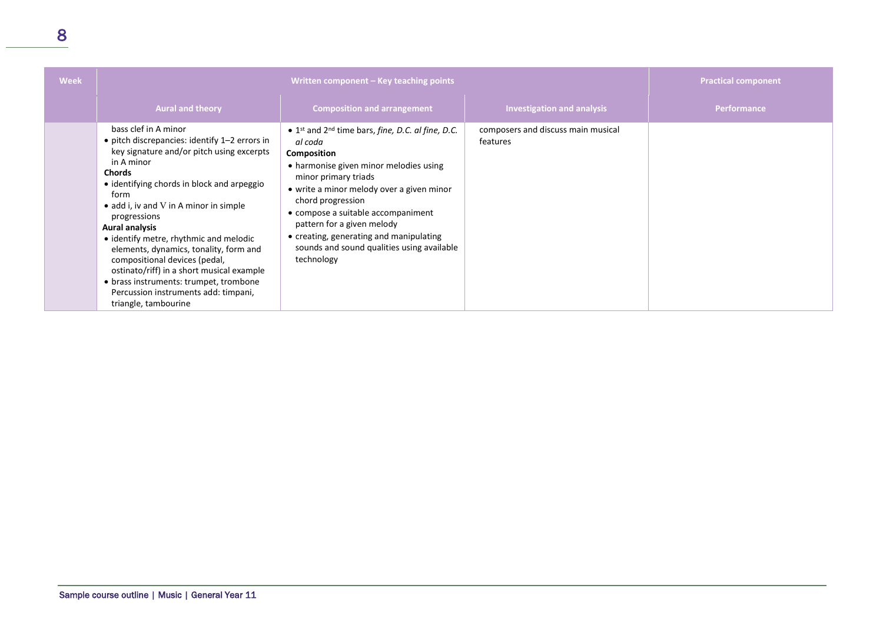| <b>Week</b> | Written component – Key teaching points                                                                                                                                                                                                                                                                                                                                                                                                                                                                                                                                |                                                                                                                                                                                                                                                                                                                                                                                                                                                   |                                                | <b>Practical component</b> |
|-------------|------------------------------------------------------------------------------------------------------------------------------------------------------------------------------------------------------------------------------------------------------------------------------------------------------------------------------------------------------------------------------------------------------------------------------------------------------------------------------------------------------------------------------------------------------------------------|---------------------------------------------------------------------------------------------------------------------------------------------------------------------------------------------------------------------------------------------------------------------------------------------------------------------------------------------------------------------------------------------------------------------------------------------------|------------------------------------------------|----------------------------|
|             | <b>Aural and theory</b>                                                                                                                                                                                                                                                                                                                                                                                                                                                                                                                                                | <b>Composition and arrangement</b>                                                                                                                                                                                                                                                                                                                                                                                                                | <b>Investigation and analysis</b>              | <b>Performance</b>         |
|             | bass clef in A minor<br>• pitch discrepancies: identify 1-2 errors in<br>key signature and/or pitch using excerpts<br>in A minor<br><b>Chords</b><br>• identifying chords in block and arpeggio<br>form<br>• add i, iv and V in A minor in simple<br>progressions<br><b>Aural analysis</b><br>• identify metre, rhythmic and melodic<br>elements, dynamics, tonality, form and<br>compositional devices (pedal,<br>ostinato/riff) in a short musical example<br>• brass instruments: trumpet, trombone<br>Percussion instruments add: timpani,<br>triangle, tambourine | $\bullet$ 1 <sup>st</sup> and 2 <sup>nd</sup> time bars, <i>fine</i> , <i>D.C. al fine</i> , <i>D.C.</i><br>al coda<br>Composition<br>• harmonise given minor melodies using<br>minor primary triads<br>• write a minor melody over a given minor<br>chord progression<br>• compose a suitable accompaniment<br>pattern for a given melody<br>• creating, generating and manipulating<br>sounds and sound qualities using available<br>technology | composers and discuss main musical<br>features |                            |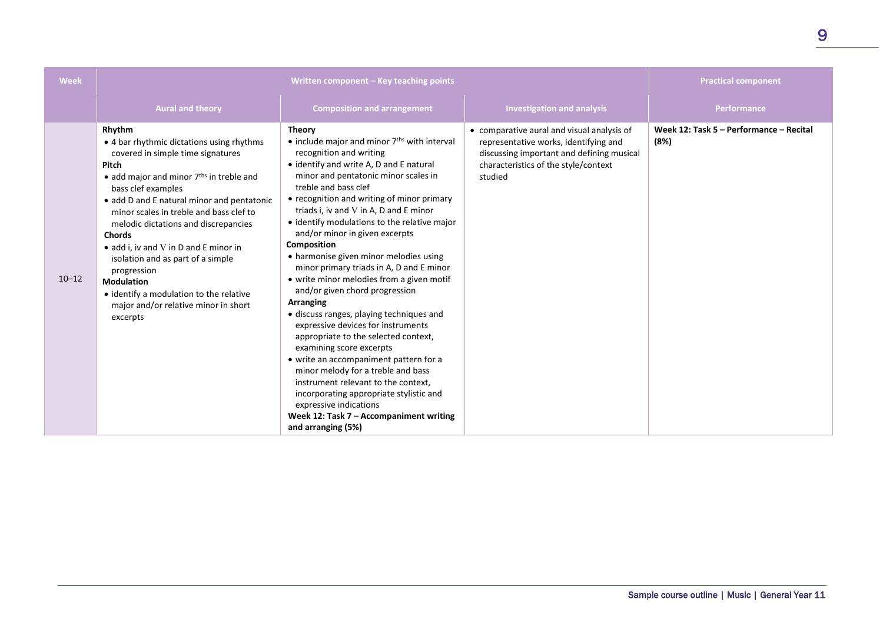| <b>Week</b> | Written component - Key teaching points                                                                                                                                                                                                                                                                                                                                                                                                                                                                                                                         |                                                                                                                                                                                                                                                                                                                                                                                                                                                                                                                                                                                                                                                                                                                                                                                                                                                                                                                                                                                                                 |                                                                                                                                                                                     | <b>Practical component</b>                      |
|-------------|-----------------------------------------------------------------------------------------------------------------------------------------------------------------------------------------------------------------------------------------------------------------------------------------------------------------------------------------------------------------------------------------------------------------------------------------------------------------------------------------------------------------------------------------------------------------|-----------------------------------------------------------------------------------------------------------------------------------------------------------------------------------------------------------------------------------------------------------------------------------------------------------------------------------------------------------------------------------------------------------------------------------------------------------------------------------------------------------------------------------------------------------------------------------------------------------------------------------------------------------------------------------------------------------------------------------------------------------------------------------------------------------------------------------------------------------------------------------------------------------------------------------------------------------------------------------------------------------------|-------------------------------------------------------------------------------------------------------------------------------------------------------------------------------------|-------------------------------------------------|
|             | <b>Aural and theory</b>                                                                                                                                                                                                                                                                                                                                                                                                                                                                                                                                         | <b>Composition and arrangement</b>                                                                                                                                                                                                                                                                                                                                                                                                                                                                                                                                                                                                                                                                                                                                                                                                                                                                                                                                                                              | <b>Investigation and analysis</b>                                                                                                                                                   | Performance                                     |
| $10 - 12$   | Rhythm<br>• 4 bar rhythmic dictations using rhythms<br>covered in simple time signatures<br><b>Pitch</b><br>$\bullet$ add major and minor $7ths$ in treble and<br>bass clef examples<br>• add D and E natural minor and pentatonic<br>minor scales in treble and bass clef to<br>melodic dictations and discrepancies<br><b>Chords</b><br>$\bullet$ add i. iv and V in D and E minor in<br>isolation and as part of a simple<br>progression<br><b>Modulation</b><br>• identify a modulation to the relative<br>major and/or relative minor in short<br>excerpts | <b>Theory</b><br>• include major and minor 7 <sup>ths</sup> with interval<br>recognition and writing<br>• identify and write A, D and E natural<br>minor and pentatonic minor scales in<br>treble and bass clef<br>• recognition and writing of minor primary<br>triads i, iv and V in A, D and E minor<br>• identify modulations to the relative major<br>and/or minor in given excerpts<br>Composition<br>• harmonise given minor melodies using<br>minor primary triads in A, D and E minor<br>• write minor melodies from a given motif<br>and/or given chord progression<br>Arranging<br>• discuss ranges, playing techniques and<br>expressive devices for instruments<br>appropriate to the selected context,<br>examining score excerpts<br>• write an accompaniment pattern for a<br>minor melody for a treble and bass<br>instrument relevant to the context,<br>incorporating appropriate stylistic and<br>expressive indications<br>Week 12: Task $7 -$ Accompaniment writing<br>and arranging (5%) | • comparative aural and visual analysis of<br>representative works, identifying and<br>discussing important and defining musical<br>characteristics of the style/context<br>studied | Week 12: Task 5 - Performance - Recital<br>(8%) |